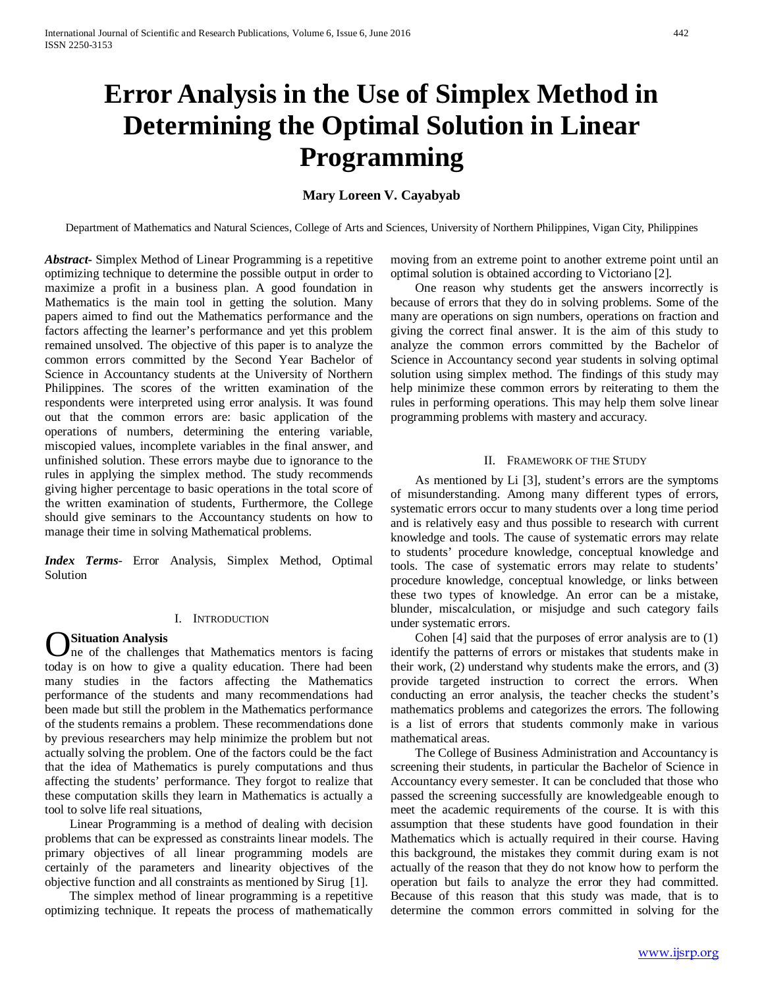# **Error Analysis in the Use of Simplex Method in Determining the Optimal Solution in Linear Programming**

# **Mary Loreen V. Cayabyab**

Department of Mathematics and Natural Sciences, College of Arts and Sciences, University of Northern Philippines, Vigan City, Philippines

*Abstract***-** Simplex Method of Linear Programming is a repetitive optimizing technique to determine the possible output in order to maximize a profit in a business plan. A good foundation in Mathematics is the main tool in getting the solution. Many papers aimed to find out the Mathematics performance and the factors affecting the learner's performance and yet this problem remained unsolved. The objective of this paper is to analyze the common errors committed by the Second Year Bachelor of Science in Accountancy students at the University of Northern Philippines. The scores of the written examination of the respondents were interpreted using error analysis. It was found out that the common errors are: basic application of the operations of numbers, determining the entering variable, miscopied values, incomplete variables in the final answer, and unfinished solution. These errors maybe due to ignorance to the rules in applying the simplex method. The study recommends giving higher percentage to basic operations in the total score of the written examination of students, Furthermore, the College should give seminars to the Accountancy students on how to manage their time in solving Mathematical problems.

*Index Terms*- Error Analysis, Simplex Method, Optimal Solution

### I. INTRODUCTION

**Situation Analysis OSituation Analysis**<br>
that Mathematics mentors is facing<br>
The challenges that Mathematics mentors is facing today is on how to give a quality education. There had been many studies in the factors affecting the Mathematics performance of the students and many recommendations had been made but still the problem in the Mathematics performance of the students remains a problem. These recommendations done by previous researchers may help minimize the problem but not actually solving the problem. One of the factors could be the fact that the idea of Mathematics is purely computations and thus affecting the students' performance. They forgot to realize that these computation skills they learn in Mathematics is actually a

tool to solve life real situations, Linear Programming is a method of dealing with decision problems that can be expressed as constraints linear models. The primary objectives of all linear programming models are certainly of the parameters and linearity objectives of the objective function and all constraints as mentioned by Sirug [1].

 The simplex method of linear programming is a repetitive optimizing technique. It repeats the process of mathematically moving from an extreme point to another extreme point until an optimal solution is obtained according to Victoriano [2].

 One reason why students get the answers incorrectly is because of errors that they do in solving problems. Some of the many are operations on sign numbers, operations on fraction and giving the correct final answer. It is the aim of this study to analyze the common errors committed by the Bachelor of Science in Accountancy second year students in solving optimal solution using simplex method. The findings of this study may help minimize these common errors by reiterating to them the rules in performing operations. This may help them solve linear programming problems with mastery and accuracy.

### II. FRAMEWORK OF THE STUDY

 As mentioned by Li [3], student's errors are the symptoms of misunderstanding. Among many different types of errors, systematic errors occur to many students over a long time period and is relatively easy and thus possible to research with current knowledge and tools. The cause of systematic errors may relate to students' procedure knowledge, conceptual knowledge and tools. The case of systematic errors may relate to students' procedure knowledge, conceptual knowledge, or links between these two types of knowledge. An error can be a mistake, blunder, miscalculation, or misjudge and such category fails under systematic errors.

 Cohen [4] said that the purposes of error analysis are to (1) identify the patterns of errors or mistakes that students make in their work, (2) understand why students make the errors, and (3) provide targeted instruction to correct the errors. When conducting an error analysis, the teacher checks the student's mathematics problems and categorizes the errors. The following is a list of errors that students commonly make in various mathematical areas.

 The College of Business Administration and Accountancy is screening their students, in particular the Bachelor of Science in Accountancy every semester. It can be concluded that those who passed the screening successfully are knowledgeable enough to meet the academic requirements of the course. It is with this assumption that these students have good foundation in their Mathematics which is actually required in their course. Having this background, the mistakes they commit during exam is not actually of the reason that they do not know how to perform the operation but fails to analyze the error they had committed. Because of this reason that this study was made, that is to determine the common errors committed in solving for the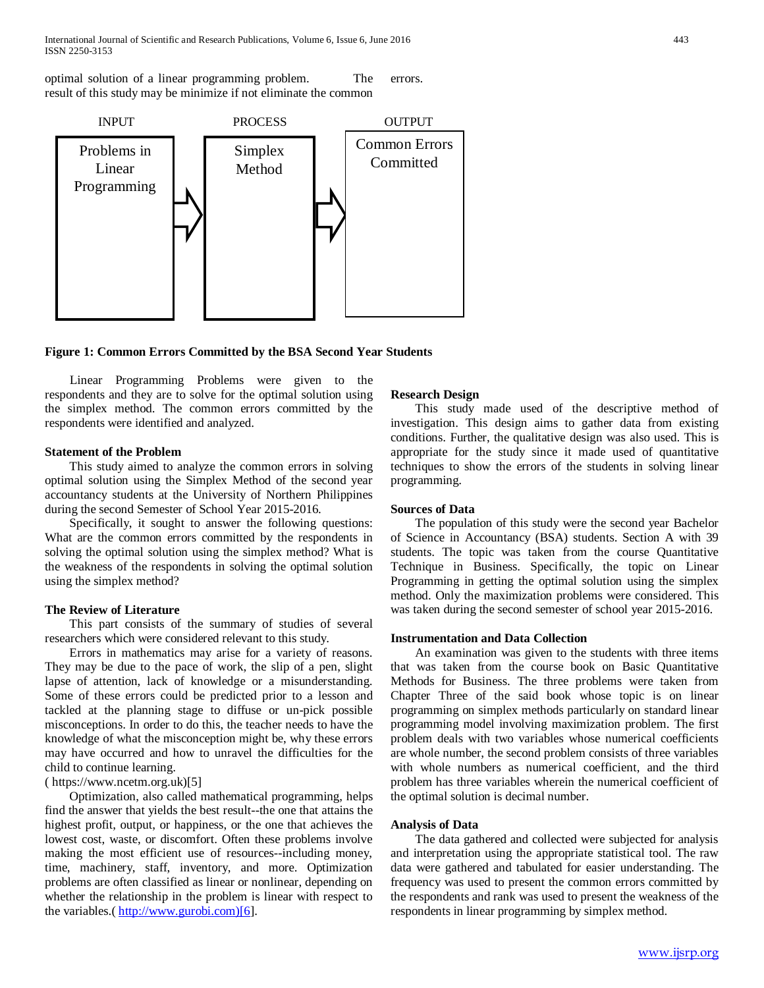optimal solution of a linear programming problem. The result of this study may be minimize if not eliminate the common errors.



**Figure 1: Common Errors Committed by the BSA Second Year Students**

 Linear Programming Problems were given to the respondents and they are to solve for the optimal solution using the simplex method. The common errors committed by the respondents were identified and analyzed.

## **Statement of the Problem**

 This study aimed to analyze the common errors in solving optimal solution using the Simplex Method of the second year accountancy students at the University of Northern Philippines during the second Semester of School Year 2015-2016.

 Specifically, it sought to answer the following questions: What are the common errors committed by the respondents in solving the optimal solution using the simplex method? What is the weakness of the respondents in solving the optimal solution using the simplex method?

## **The Review of Literature**

 This part consists of the summary of studies of several researchers which were considered relevant to this study.

 Errors in mathematics may arise for a variety of reasons. They may be due to the pace of work, the slip of a pen, slight lapse of attention, lack of knowledge or a misunderstanding. Some of these errors could be predicted prior to a lesson and tackled at the planning stage to diffuse or un-pick possible misconceptions. In order to do this, the teacher needs to have the knowledge of what the misconception might be, why these errors may have occurred and how to unravel the difficulties for the child to continue learning.

( https://www.ncetm.org.uk)[5]

 Optimization, also called mathematical programming, helps find the answer that yields the best result--the one that attains the highest profit, output, or happiness, or the one that achieves the lowest cost, waste, or discomfort. Often these problems involve making the most efficient use of resources--including money, time, machinery, staff, inventory, and more. Optimization problems are often classified as linear or nonlinear, depending on whether the relationship in the problem is linear with respect to the variables.( [http://www.gurobi.com\)\[6\]](http://www.gurobi.com)[6/).

#### **Research Design**

 This study made used of the descriptive method of investigation. This design aims to gather data from existing conditions. Further, the qualitative design was also used. This is appropriate for the study since it made used of quantitative techniques to show the errors of the students in solving linear programming.

### **Sources of Data**

 The population of this study were the second year Bachelor of Science in Accountancy (BSA) students. Section A with 39 students. The topic was taken from the course Quantitative Technique in Business. Specifically, the topic on Linear Programming in getting the optimal solution using the simplex method. Only the maximization problems were considered. This was taken during the second semester of school year 2015-2016.

#### **Instrumentation and Data Collection**

 An examination was given to the students with three items that was taken from the course book on Basic Quantitative Methods for Business. The three problems were taken from Chapter Three of the said book whose topic is on linear programming on simplex methods particularly on standard linear programming model involving maximization problem. The first problem deals with two variables whose numerical coefficients are whole number, the second problem consists of three variables with whole numbers as numerical coefficient, and the third problem has three variables wherein the numerical coefficient of the optimal solution is decimal number.

## **Analysis of Data**

 The data gathered and collected were subjected for analysis and interpretation using the appropriate statistical tool. The raw data were gathered and tabulated for easier understanding. The frequency was used to present the common errors committed by the respondents and rank was used to present the weakness of the respondents in linear programming by simplex method.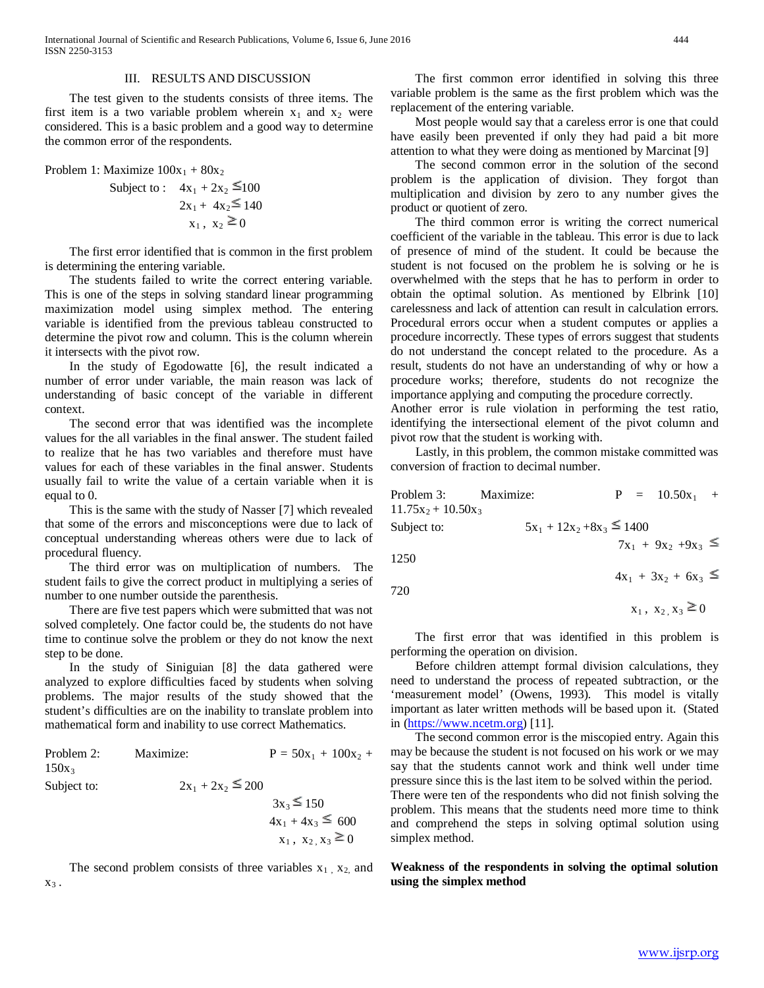#### III. RESULTS AND DISCUSSION

 The test given to the students consists of three items. The first item is a two variable problem wherein  $x_1$  and  $x_2$  were considered. This is a basic problem and a good way to determine the common error of the respondents.

Problem 1: Maximize  $100x_1 + 80x_2$ 

Subject to : 
$$
4x_1 + 2x_2 \le 100
$$
  
\n $2x_1 + 4x_2 \le 140$   
\n $x_1, x_2 \ge 0$ 

 The first error identified that is common in the first problem is determining the entering variable.

 The students failed to write the correct entering variable. This is one of the steps in solving standard linear programming maximization model using simplex method. The entering variable is identified from the previous tableau constructed to determine the pivot row and column. This is the column wherein it intersects with the pivot row.

 In the study of Egodowatte [6], the result indicated a number of error under variable, the main reason was lack of understanding of basic concept of the variable in different context.

 The second error that was identified was the incomplete values for the all variables in the final answer. The student failed to realize that he has two variables and therefore must have values for each of these variables in the final answer. Students usually fail to write the value of a certain variable when it is equal to 0.

 This is the same with the study of Nasser [7] which revealed that some of the errors and misconceptions were due to lack of conceptual understanding whereas others were due to lack of procedural fluency.

 The third error was on multiplication of numbers. The student fails to give the correct product in multiplying a series of number to one number outside the parenthesis.

 There are five test papers which were submitted that was not solved completely. One factor could be, the students do not have time to continue solve the problem or they do not know the next step to be done.

 In the study of Siniguian [8] the data gathered were analyzed to explore difficulties faced by students when solving problems. The major results of the study showed that the student's difficulties are on the inability to translate problem into mathematical form and inability to use correct Mathematics.

| Problem 2:  | Maximize:             | $P = 50x_1 + 100x_2 +$ |
|-------------|-----------------------|------------------------|
| $150x_3$    |                       |                        |
| Subject to: | $2x_1 + 2x_2 \le 200$ |                        |
|             |                       | $3x_3 \le 150$         |
|             |                       | $4x_1 + 4x_3 \leq 600$ |

The second problem consists of three variables  $x_1$ ,  $x_2$ , and  $X_3$ .

 $x_1, x_2, x_3 \ge 0$ 

 The first common error identified in solving this three variable problem is the same as the first problem which was the replacement of the entering variable.

 Most people would say that a careless error is one that could have easily been prevented if only they had paid a bit more attention to what they were doing as mentioned by Marcinat [9]

 The second common error in the solution of the second problem is the application of division. They forgot than multiplication and division by zero to any number gives the product or quotient of zero.

 The third common error is writing the correct numerical coefficient of the variable in the tableau. This error is due to lack of presence of mind of the student. It could be because the student is not focused on the problem he is solving or he is overwhelmed with the steps that he has to perform in order to obtain the optimal solution. As mentioned by Elbrink [10] carelessness and lack of attention can result in calculation errors. Procedural errors occur when a student computes or applies a procedure incorrectly. These types of errors suggest that students do not understand the concept related to the procedure. As a result, students do not have an understanding of why or how a procedure works; therefore, students do not recognize the importance applying and computing the procedure correctly.

Another error is rule violation in performing the test ratio, identifying the intersectional element of the pivot column and pivot row that the student is working with.

 Lastly, in this problem, the common mistake committed was conversion of fraction to decimal number.

| Problem 3:            | Maximize:                      |  | $P = 10.50x_1 +$         |  |
|-----------------------|--------------------------------|--|--------------------------|--|
| $11.75x_2 + 10.50x_3$ |                                |  |                          |  |
| Subject to:           | $5x_1 + 12x_2 + 8x_3 \le 1400$ |  |                          |  |
|                       |                                |  | $7x_1 + 9x_2 + 9x_3 \le$ |  |

1250

720

$$
x_1, x_2, x_3 \ge 0
$$

 $4x_1 + 3x_2 + 6x_3 \le$ 

 The first error that was identified in this problem is performing the operation on division.

 Before children attempt formal division calculations, they need to understand the process of repeated subtraction, or the 'measurement model' (Owens, 1993). This model is vitally important as later written methods will be based upon it. (Stated in [\(https://www.ncetm.org\)](https://www.ncetm.org/) [11].

 The second common error is the miscopied entry. Again this may be because the student is not focused on his work or we may say that the students cannot work and think well under time pressure since this is the last item to be solved within the period. There were ten of the respondents who did not finish solving the problem. This means that the students need more time to think

and comprehend the steps in solving optimal solution using simplex method.

## **Weakness of the respondents in solving the optimal solution using the simplex method**